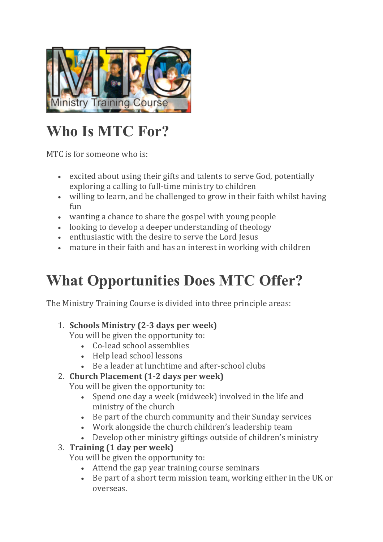

# **Who Is MTC For?**

MTC is for someone who is:

- excited about using their gifts and talents to serve God, potentially exploring a calling to full-time ministry to children
- willing to learn, and be challenged to grow in their faith whilst having fun
- wanting a chance to share the gospel with young people
- looking to develop a deeper understanding of theology
- enthusiastic with the desire to serve the Lord Jesus
- mature in their faith and has an interest in working with children

### **What Opportunities Does MTC Offer?**

The Ministry Training Course is divided into three principle areas:

#### 1. **Schools Ministry (2-3 days per week)**

You will be given the opportunity to:

- Co-lead school assemblies
- Help lead school lessons
- Be a leader at lunchtime and after-school clubs

#### 2. **Church Placement (1-2 days per week)**

You will be given the opportunity to:

- Spend one day a week (midweek) involved in the life and ministry of the church
- Be part of the church community and their Sunday services
- Work alongside the church children's leadership team
- Develop other ministry giftings outside of children's ministry

#### 3. **Training (1 day per week)**

You will be given the opportunity to:

- Attend the gap year training course seminars
- Be part of a short term mission team, working either in the UK or overseas.